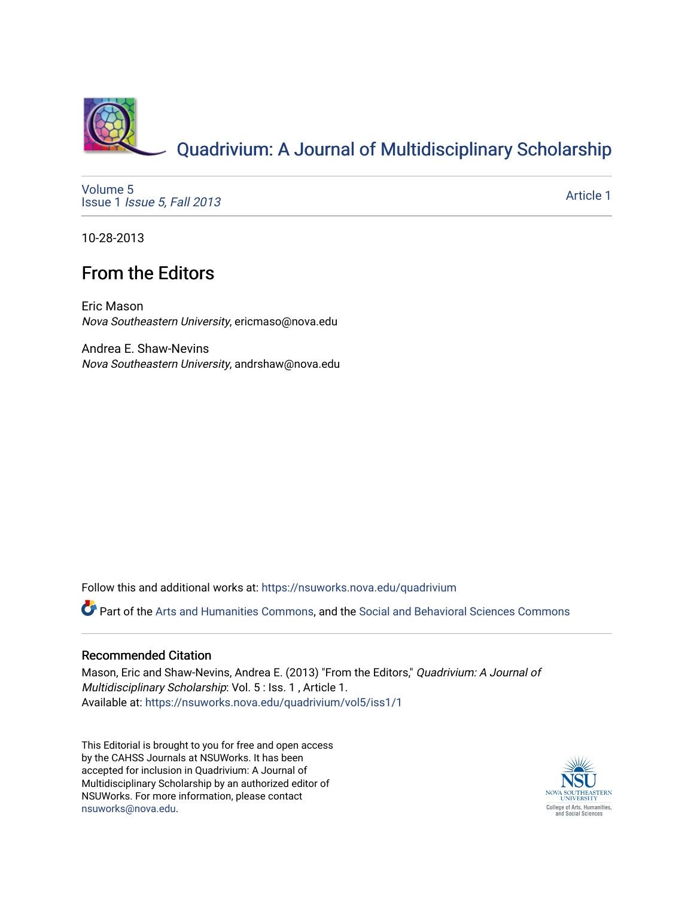

# [Quadrivium: A Journal of Multidisciplinary Scholarship](https://nsuworks.nova.edu/quadrivium)

[Volume 5](https://nsuworks.nova.edu/quadrivium/vol5) Issue 1 [Issue 5, Fall 2013](https://nsuworks.nova.edu/quadrivium/vol5/iss1) 

[Article 1](https://nsuworks.nova.edu/quadrivium/vol5/iss1/1) 

10-28-2013

### From the Editors

Eric Mason Nova Southeastern University, ericmaso@nova.edu

Andrea E. Shaw-Nevins Nova Southeastern University, andrshaw@nova.edu

Follow this and additional works at: [https://nsuworks.nova.edu/quadrivium](https://nsuworks.nova.edu/quadrivium?utm_source=nsuworks.nova.edu%2Fquadrivium%2Fvol5%2Fiss1%2F1&utm_medium=PDF&utm_campaign=PDFCoverPages)

Part of the [Arts and Humanities Commons,](http://network.bepress.com/hgg/discipline/438?utm_source=nsuworks.nova.edu%2Fquadrivium%2Fvol5%2Fiss1%2F1&utm_medium=PDF&utm_campaign=PDFCoverPages) and the [Social and Behavioral Sciences Commons](http://network.bepress.com/hgg/discipline/316?utm_source=nsuworks.nova.edu%2Fquadrivium%2Fvol5%2Fiss1%2F1&utm_medium=PDF&utm_campaign=PDFCoverPages)

#### Recommended Citation

Mason, Eric and Shaw-Nevins, Andrea E. (2013) "From the Editors," Quadrivium: A Journal of Multidisciplinary Scholarship: Vol. 5 : Iss. 1 , Article 1. Available at: [https://nsuworks.nova.edu/quadrivium/vol5/iss1/1](https://nsuworks.nova.edu/quadrivium/vol5/iss1/1?utm_source=nsuworks.nova.edu%2Fquadrivium%2Fvol5%2Fiss1%2F1&utm_medium=PDF&utm_campaign=PDFCoverPages)

This Editorial is brought to you for free and open access by the CAHSS Journals at NSUWorks. It has been accepted for inclusion in Quadrivium: A Journal of Multidisciplinary Scholarship by an authorized editor of NSUWorks. For more information, please contact [nsuworks@nova.edu](mailto:nsuworks@nova.edu).